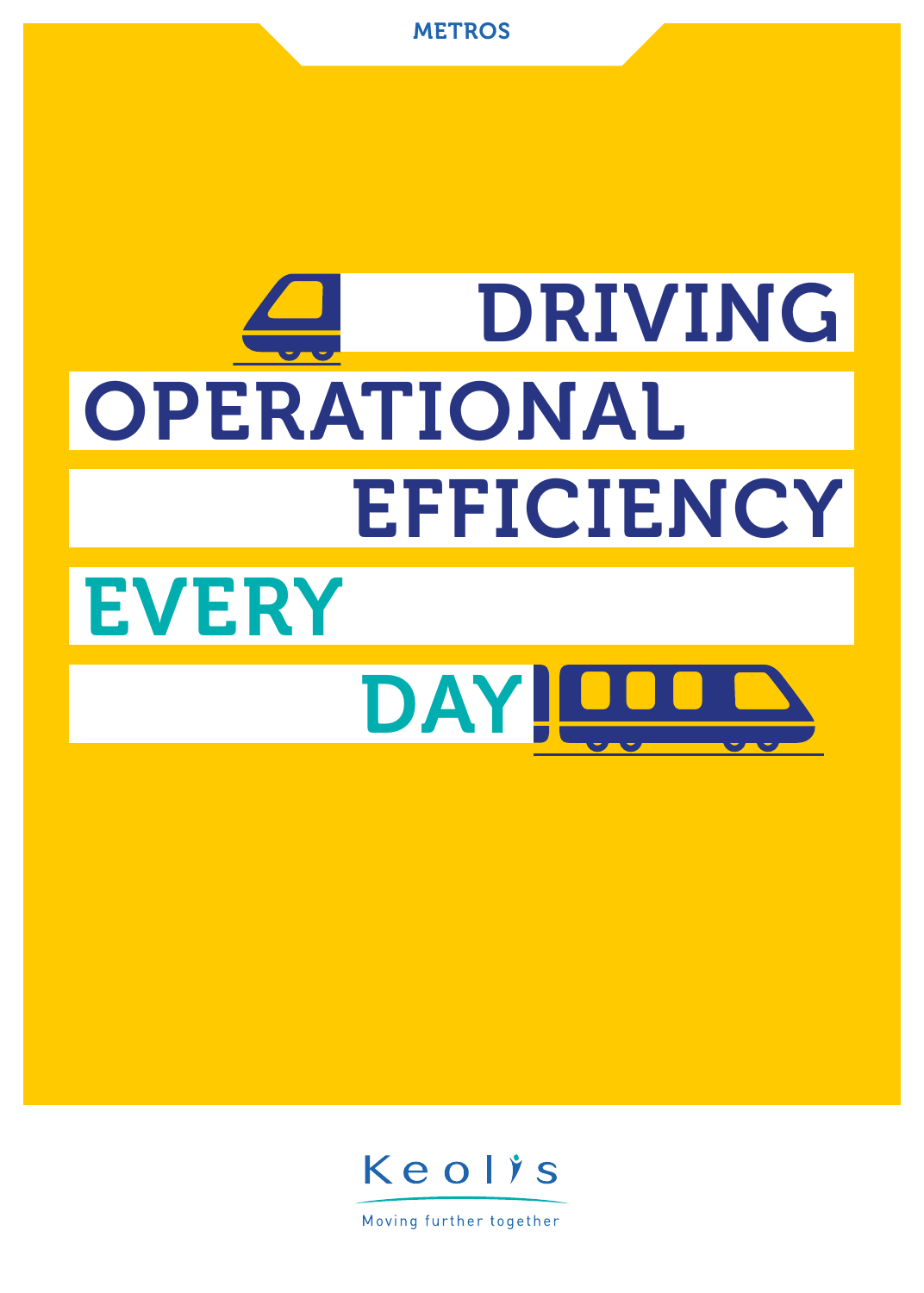METROS

# DRIVING EFFICIENCY **EVERY** OPERATIONAL

# **DAY**



Moving further together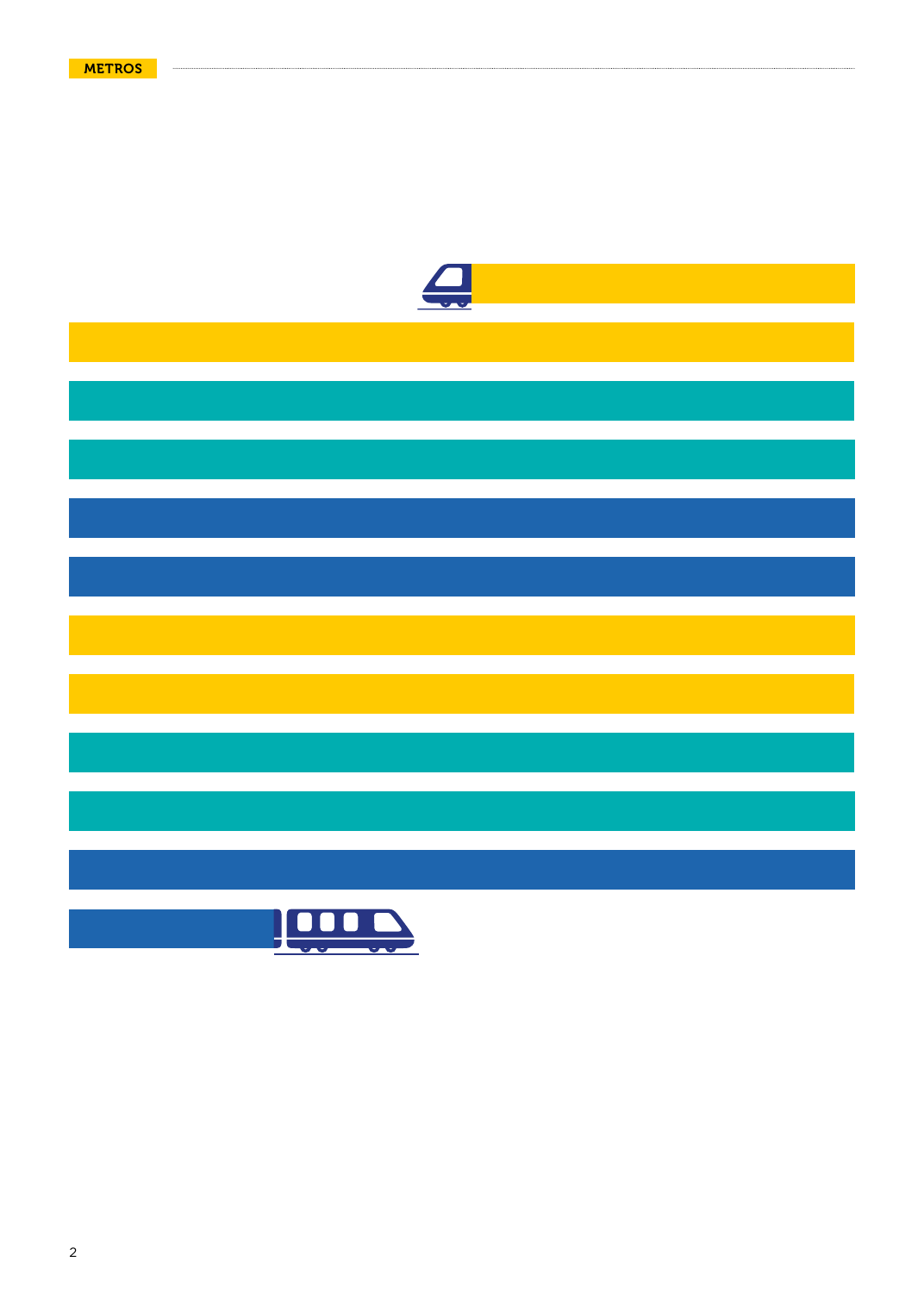



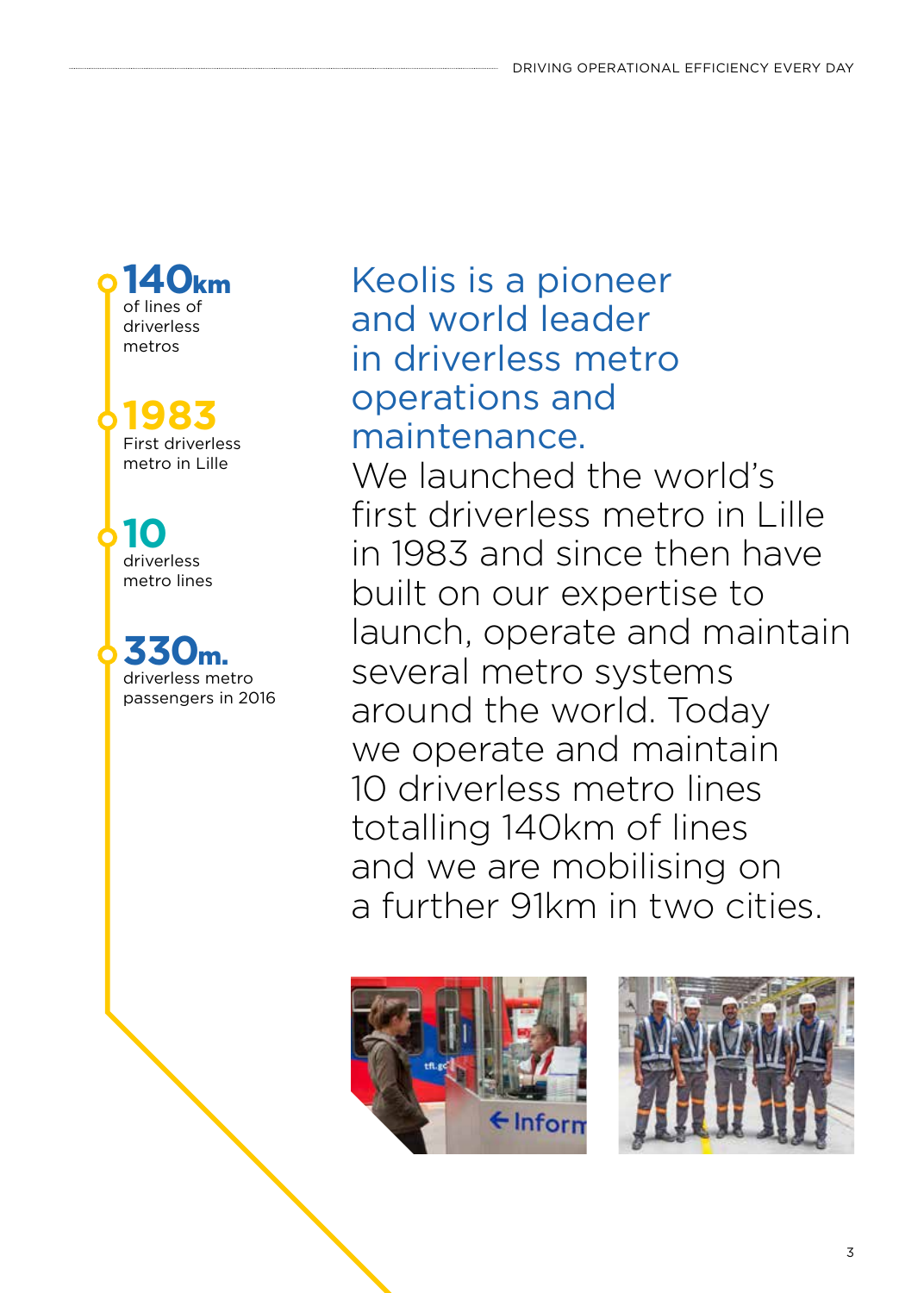### **140**km of lines of driverless metros

**1983** First driverless metro in Lille

**10** driverless metro lines

**330**m. driverless metro passengers in 2016

# Keolis is a pioneer and world leader in driverless metro operations and maintenance.

We launched the world's first driverless metro in Lille in 1983 and since then have built on our expertise to launch, operate and maintain several metro systems around the world. Today we operate and maintain 10 driverless metro lines totalling 140km of lines and we are mobilising on a further 91km in two cities.



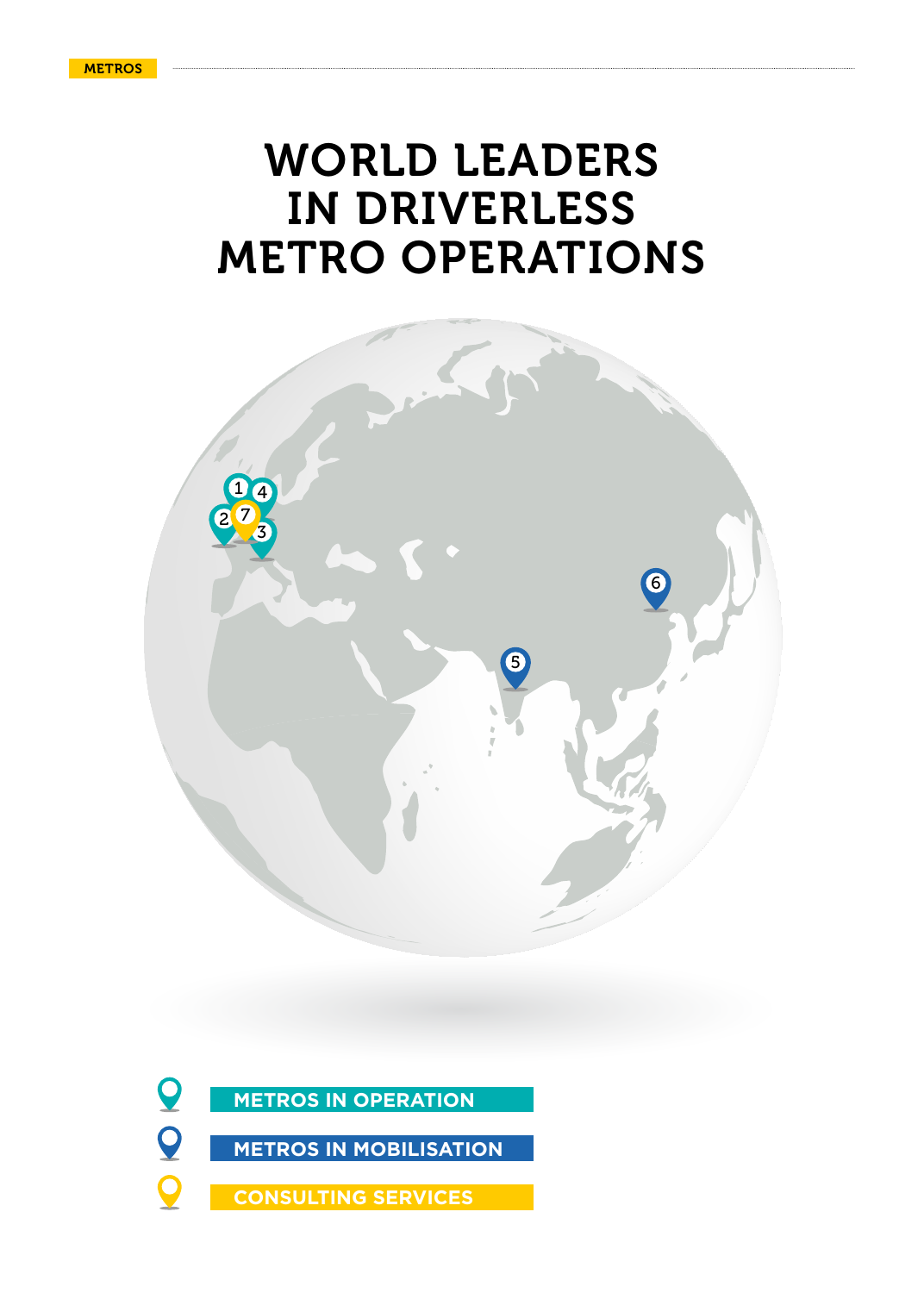# WORLD LEADERS IN DRIVERLESS METRO OPERATIONS



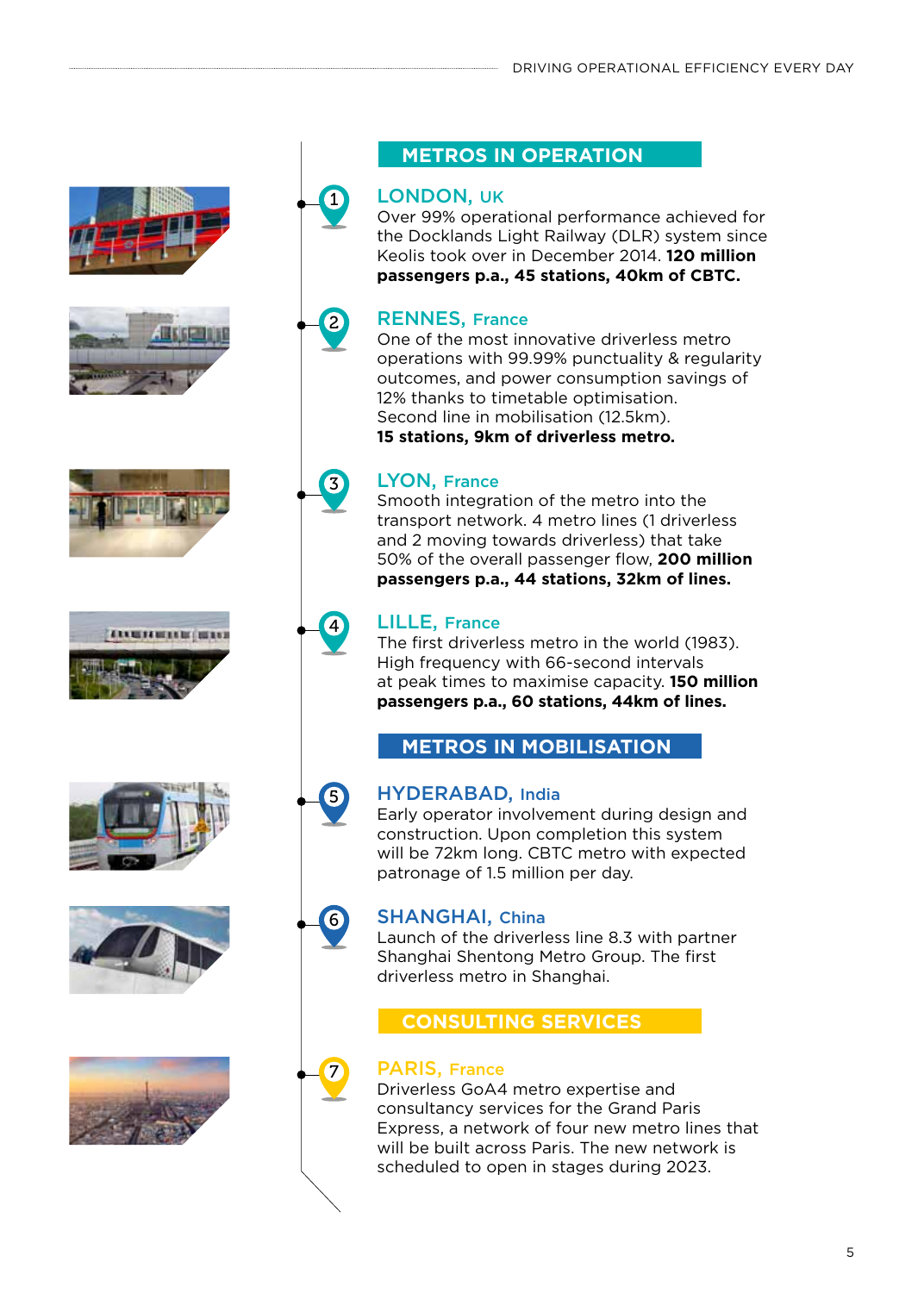













### **METROS IN OPERATION**

### LONDON, UK

Over 99% operational performance achieved for the Docklands Light Railway (DLR) system since Keolis took over in December 2014. **120 million passengers p.a., 45 stations, 40km of CBTC.**



### RENNES, France

One of the most innovative driverless metro operations with 99.99% punctuality & regularity outcomes, and power consumption savings of 12% thanks to timetable optimisation. Second line in mobilisation (12.5km). **15 stations, 9km of driverless metro.** 

#### LYON, France 3

Smooth integration of the metro into the transport network. 4 metro lines (1 driverless and 2 moving towards driverless) that take 50% of the overall passenger flow, **200 million passengers p.a., 44 stations, 32km of lines.**



 $\bf o$ 

 $\boldsymbol{2}$ 

### LILLE, France

The first driverless metro in the world (1983). High frequency with 66-second intervals at peak times to maximise capacity. **150 million passengers p.a., 60 stations, 44km of lines.** 

### **METROS IN MOBILISATION**



### HYDERABAD, India

Early operator involvement during design and construction. Upon completion this system will be 72km long. CBTC metro with expected patronage of 1.5 million per day.



### SHANGHAI, China

Launch of the driverless line 8.3 with partner Shanghai Shentong Metro Group. The first driverless metro in Shanghai.

### **CONSULTING SERVICES**



### PARIS, France

Driverless GoA4 metro expertise and consultancy services for the Grand Paris Express, a network of four new metro lines that will be built across Paris. The new network is scheduled to open in stages during 2023.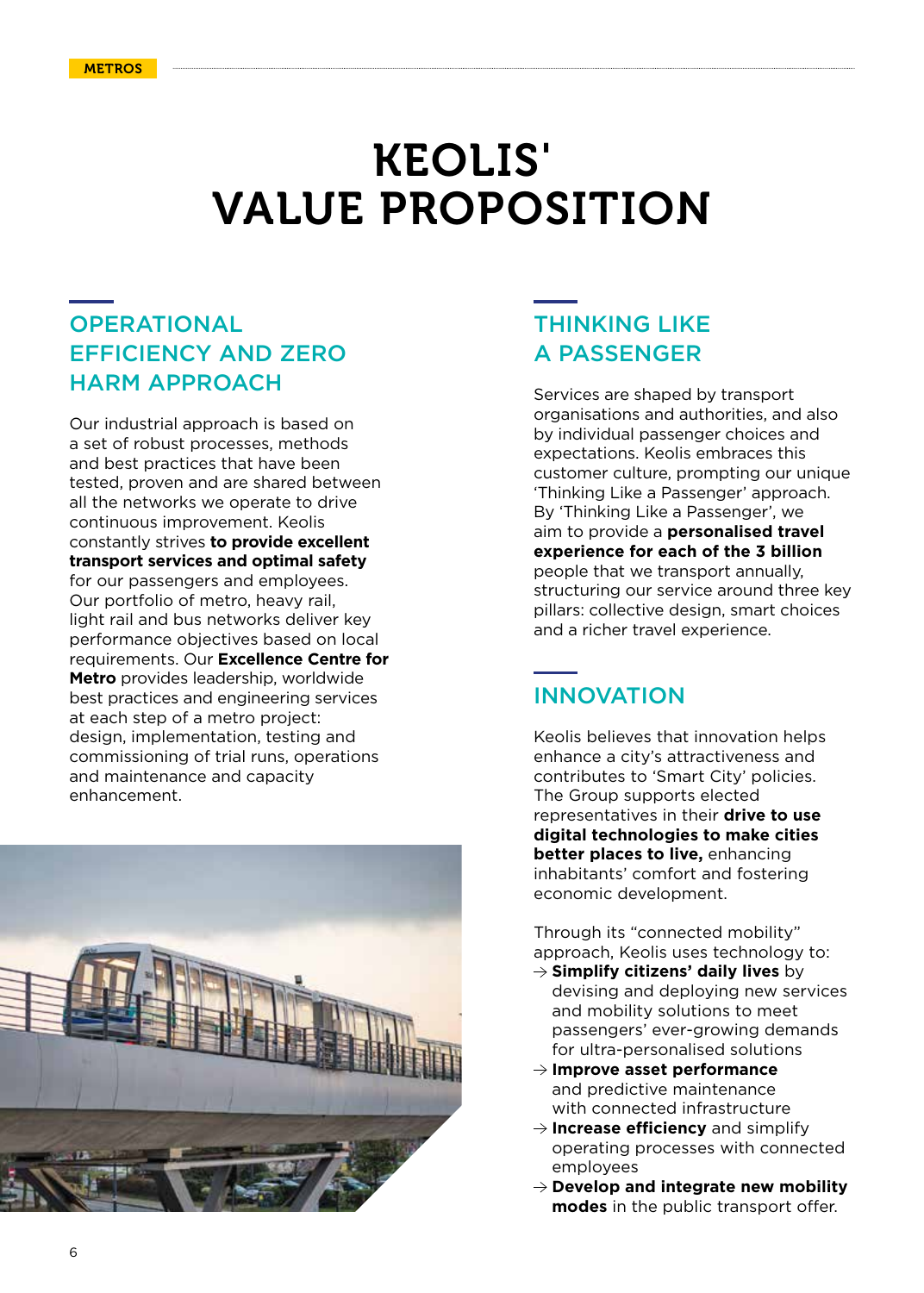# KEOLIS' VALUE PROPOSITION

# **OPERATIONAL** EFFICIENCY AND ZERO HARM APPROACH

Our industrial approach is based on a set of robust processes, methods and best practices that have been tested, proven and are shared between all the networks we operate to drive continuous improvement. Keolis constantly strives **to provide excellent transport services and optimal safety** for our passengers and employees. Our portfolio of metro, heavy rail, light rail and bus networks deliver key performance objectives based on local requirements. Our **Excellence Centre for Metro** provides leadership, worldwide best practices and engineering services at each step of a metro project: design, implementation, testing and commissioning of trial runs, operations and maintenance and capacity enhancement.



# THINKING LIKE A PASSENGER

Services are shaped by transport organisations and authorities, and also by individual passenger choices and expectations. Keolis embraces this customer culture, prompting our unique 'Thinking Like a Passenger' approach. By 'Thinking Like a Passenger', we aim to provide a **personalised travel experience for each of the 3 billion** people that we transport annually, structuring our service around three key pillars: collective design, smart choices and a richer travel experience.

# INNOVATION

Keolis believes that innovation helps enhance a city's attractiveness and contributes to 'Smart City' policies. The Group supports elected representatives in their **drive to use digital technologies to make cities better places to live,** enhancing inhabitants' comfort and fostering economic development.

Through its "connected mobility" approach, Keolis uses technology to:

- **Simplify citizens' daily lives** by devising and deploying new services and mobility solutions to meet passengers' ever-growing demands for ultra-personalised solutions
- **Improve asset performance** and predictive maintenance with connected infrastructure
- → **Increase efficiency** and simplify operating processes with connected employees
- **Develop and integrate new mobility modes** in the public transport offer.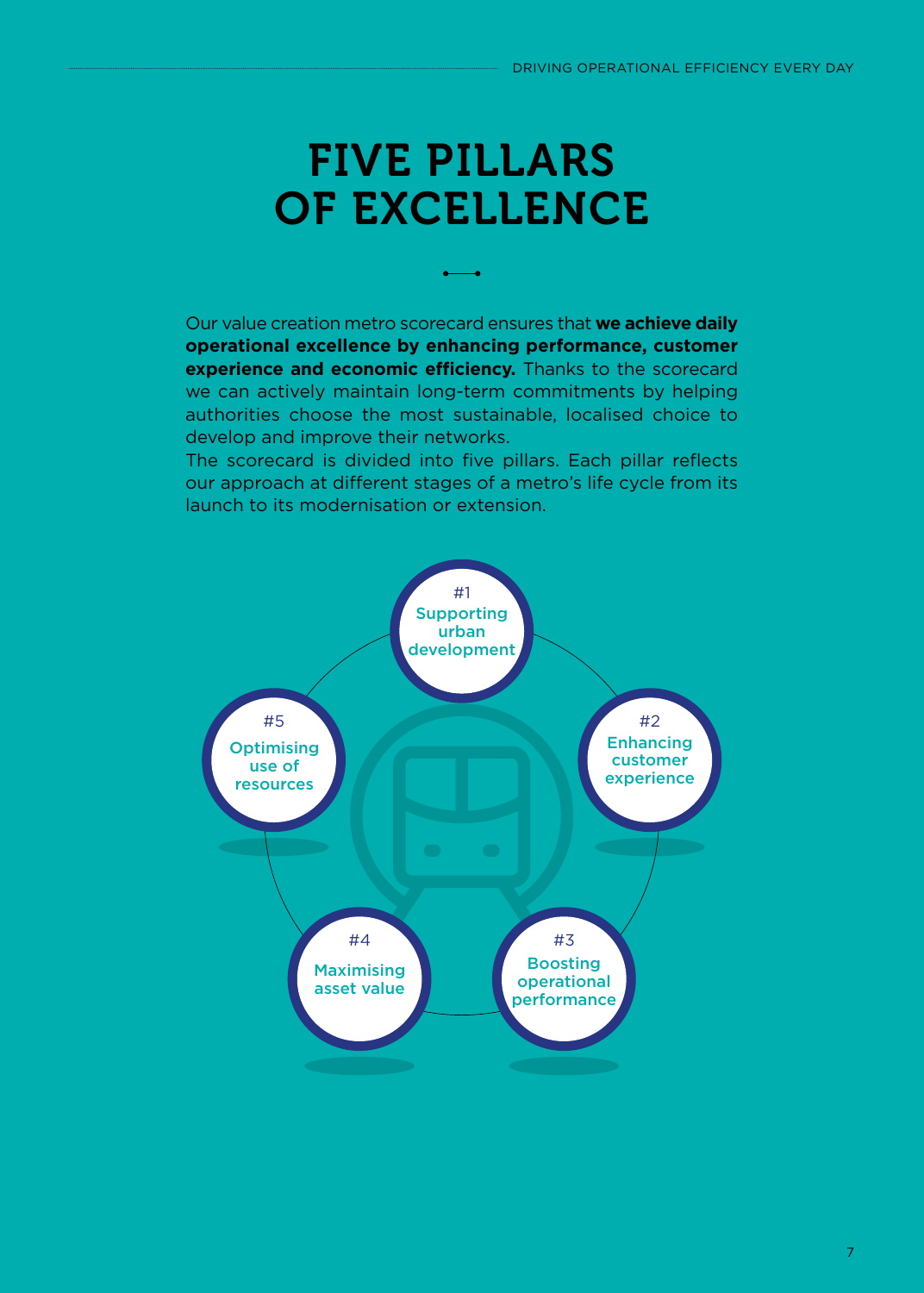# FIVE PILLARS OF EXCELLENCE

Our value creation metro scorecard ensures that **we achieve daily operational excellence by enhancing performance, customer experience and economic efficiency.** Thanks to the scorecard we can actively maintain long-term commitments by helping authorities choose the most sustainable, localised choice to develop and improve their networks.

The scorecard is divided into five pillars. Each pillar reflects our approach at different stages of a metro's life cycle from its launch to its modernisation or extension.

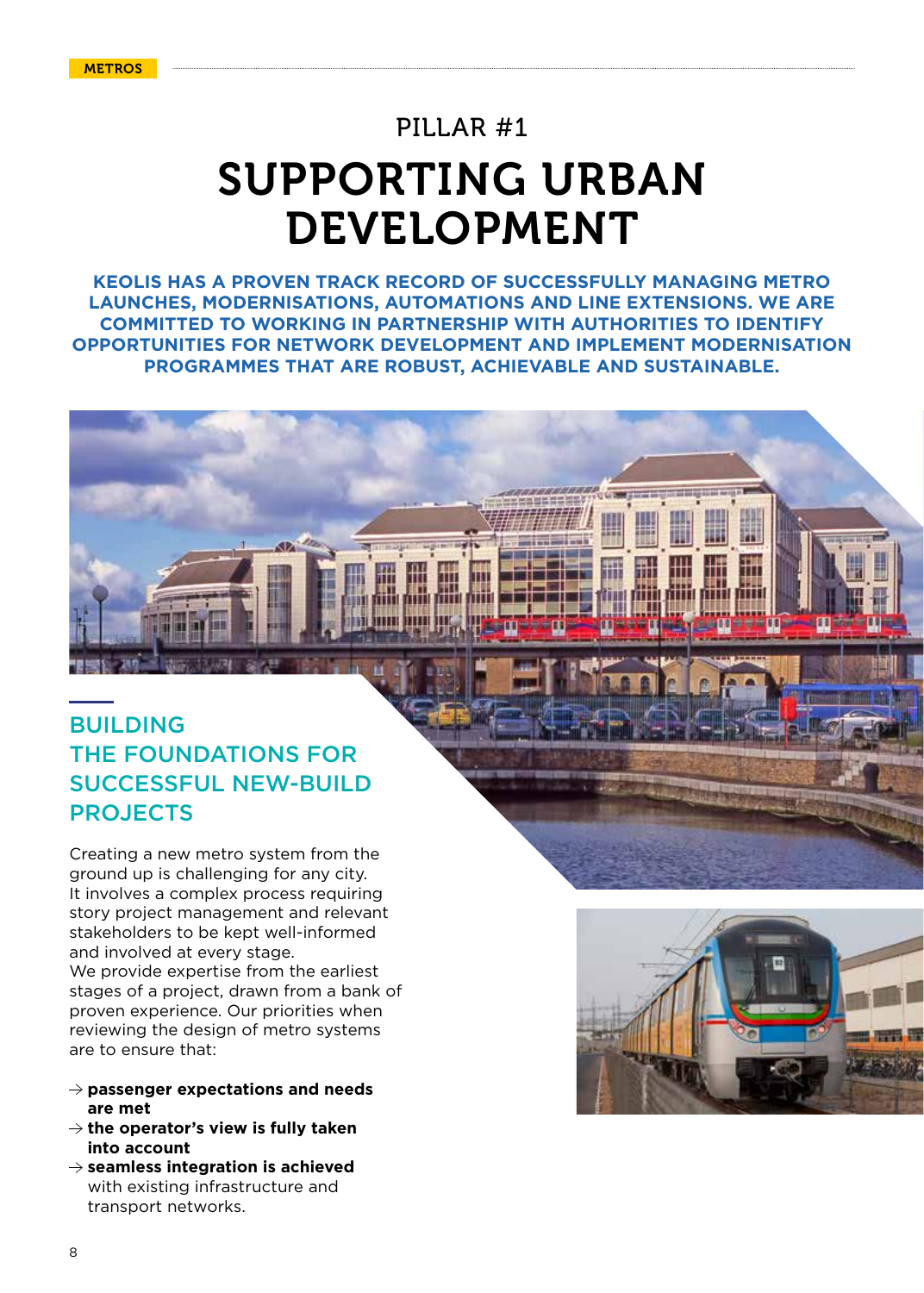# SUPPORTING URBAN DEVELOPMENT

**KEOLIS HAS A PROVEN TRACK RECORD OF SUCCESSFULLY MANAGING METRO LAUNCHES, MODERNISATIONS, AUTOMATIONS AND LINE EXTENSIONS. WE ARE COMMITTED TO WORKING IN PARTNERSHIP WITH AUTHORITIES TO IDENTIFY OPPORTUNITIES FOR NETWORK DEVELOPMENT AND IMPLEMENT MODERNISATION PROGRAMMES THAT ARE ROBUST, ACHIEVABLE AND SUSTAINABLE.**



# BUILDING THE FOUNDATIONS FOR SUCCESSFUL NEW-BUILD **PROJECTS**

Creating a new metro system from the ground up is challenging for any city. It involves a complex process requiring story project management and relevant stakeholders to be kept well-informed and involved at every stage. We provide expertise from the earliest stages of a project, drawn from a bank of proven experience. Our priorities when reviewing the design of metro systems are to ensure that:

- **passenger expectations and needs are met**
- **the operator's view is fully taken into account**
- **seamless integration is achieved**  with existing infrastructure and transport networks.

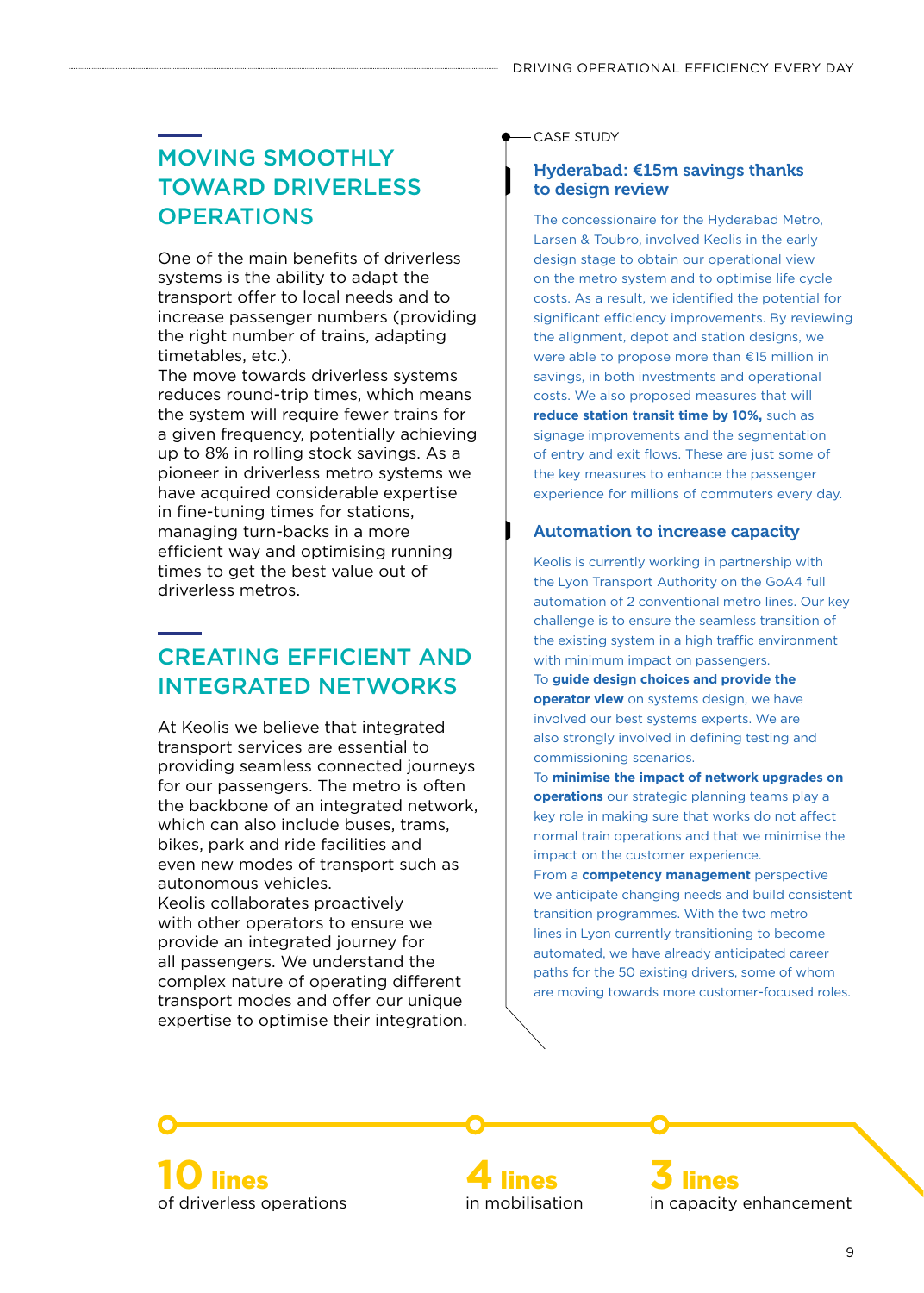## MOVING SMOOTHLY TOWARD DRIVERLESS **OPERATIONS**

One of the main benefits of driverless systems is the ability to adapt the transport offer to local needs and to increase passenger numbers (providing the right number of trains, adapting timetables, etc.).

The move towards driverless systems reduces round-trip times, which means the system will require fewer trains for a given frequency, potentially achieving up to 8% in rolling stock savings. As a pioneer in driverless metro systems we have acquired considerable expertise in fine-tuning times for stations, managing turn-backs in a more efficient way and optimising running times to get the best value out of driverless metros.

### CREATING EFFICIENT AND INTEGRATED NETWORKS

At Keolis we believe that integrated transport services are essential to providing seamless connected journeys for our passengers. The metro is often the backbone of an integrated network, which can also include buses, trams. bikes, park and ride facilities and even new modes of transport such as autonomous vehicles. Keolis collaborates proactively with other operators to ensure we provide an integrated journey for all passengers. We understand the complex nature of operating different transport modes and offer our unique expertise to optimise their integration.

#### CASE STUDY

### Hyderabad: €15m savings thanks to design review

The concessionaire for the Hyderabad Metro, Larsen & Toubro, involved Keolis in the early design stage to obtain our operational view on the metro system and to optimise life cycle costs. As a result, we identified the potential for significant efficiency improvements. By reviewing the alignment, depot and station designs, we were able to propose more than €15 million in savings, in both investments and operational costs. We also proposed measures that will **reduce station transit time by 10%,** such as signage improvements and the segmentation of entry and exit flows. These are just some of the key measures to enhance the passenger experience for millions of commuters every day.

### Automation to increase capacity

Keolis is currently working in partnership with the Lyon Transport Authority on the GoA4 full automation of 2 conventional metro lines. Our key challenge is to ensure the seamless transition of the existing system in a high traffic environment with minimum impact on passengers.

To **guide design choices and provide the operator view** on systems design, we have involved our best systems experts. We are also strongly involved in defining testing and commissioning scenarios.

To **minimise the impact of network upgrades on operations** our strategic planning teams play a key role in making sure that works do not affect normal train operations and that we minimise the impact on the customer experience.

From a **competency management** perspective we anticipate changing needs and build consistent transition programmes. With the two metro lines in Lyon currently transitioning to become automated, we have already anticipated career paths for the 50 existing drivers, some of whom are moving towards more customer-focused roles.

**10** lines of driverless operations



**3** lines in capacity enhancement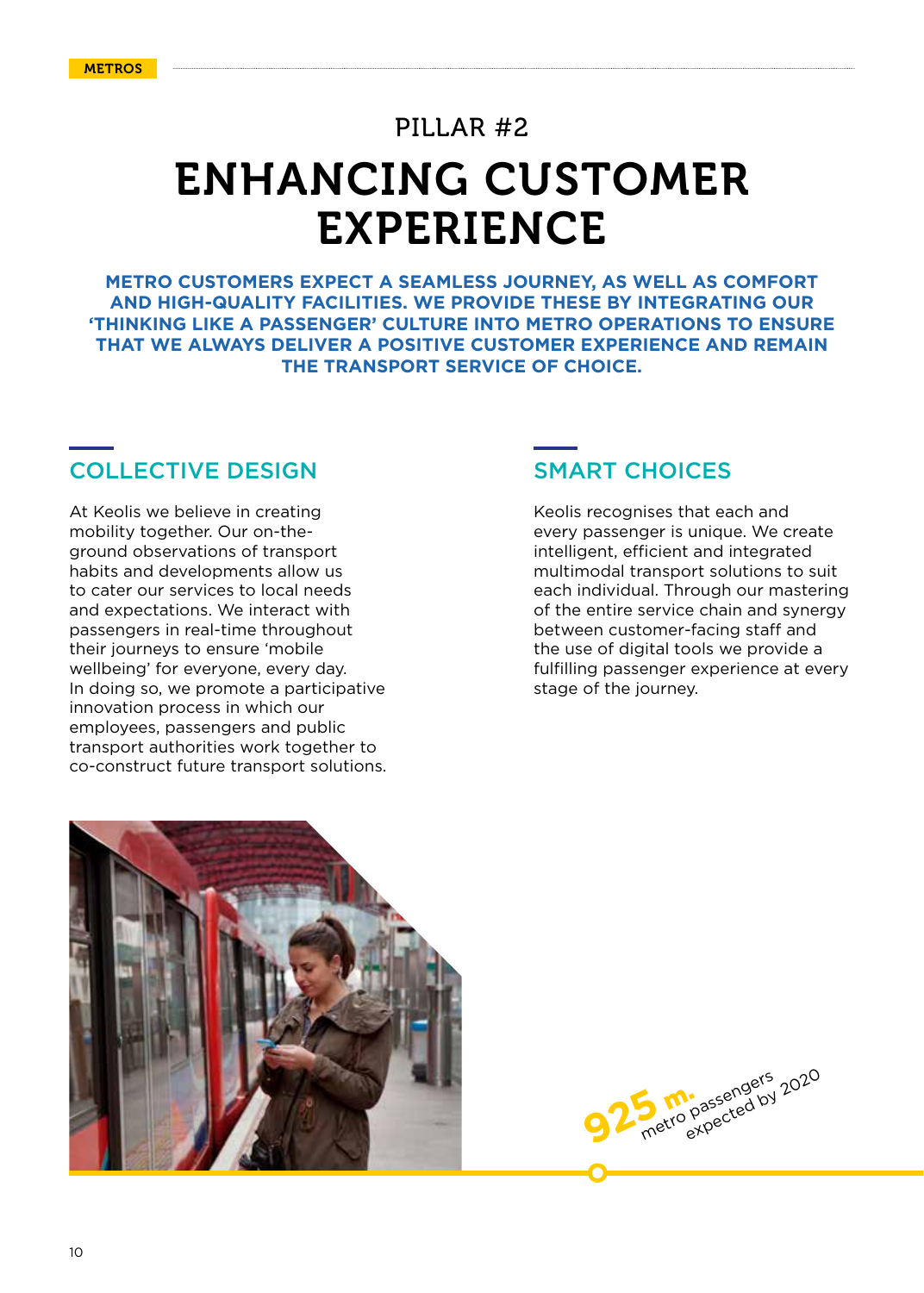### $PILAR$ #2

# ENHANCING CUSTOMER EXPERIENCE

**METRO CUSTOMERS EXPECT A SEAMLESS JOURNEY, AS WELL AS COMFORT AND HIGH-QUALITY FACILITIES. WE PROVIDE THESE BY INTEGRATING OUR 'THINKING LIKE A PASSENGER' CULTURE INTO METRO OPERATIONS TO ENSURE THAT WE ALWAYS DELIVER A POSITIVE CUSTOMER EXPERIENCE AND REMAIN THE TRANSPORT SERVICE OF CHOICE.**

### COLLECTIVE DESIGN

At Keolis we believe in creating mobility together. Our on-theground observations of transport habits and developments allow us to cater our services to local needs and expectations. We interact with passengers in real-time throughout their journeys to ensure 'mobile wellbeing' for everyone, every day. In doing so, we promote a participative innovation process in which our employees, passengers and public transport authorities work together to co-construct future transport solutions.

### SMART CHOICES

Keolis recognises that each and every passenger is unique. We create intelligent, efficient and integrated multimodal transport solutions to suit each individual. Through our mastering of the entire service chain and synergy between customer-facing staff and the use of digital tools we provide a fulfilling passenger experience at every stage of the journey.



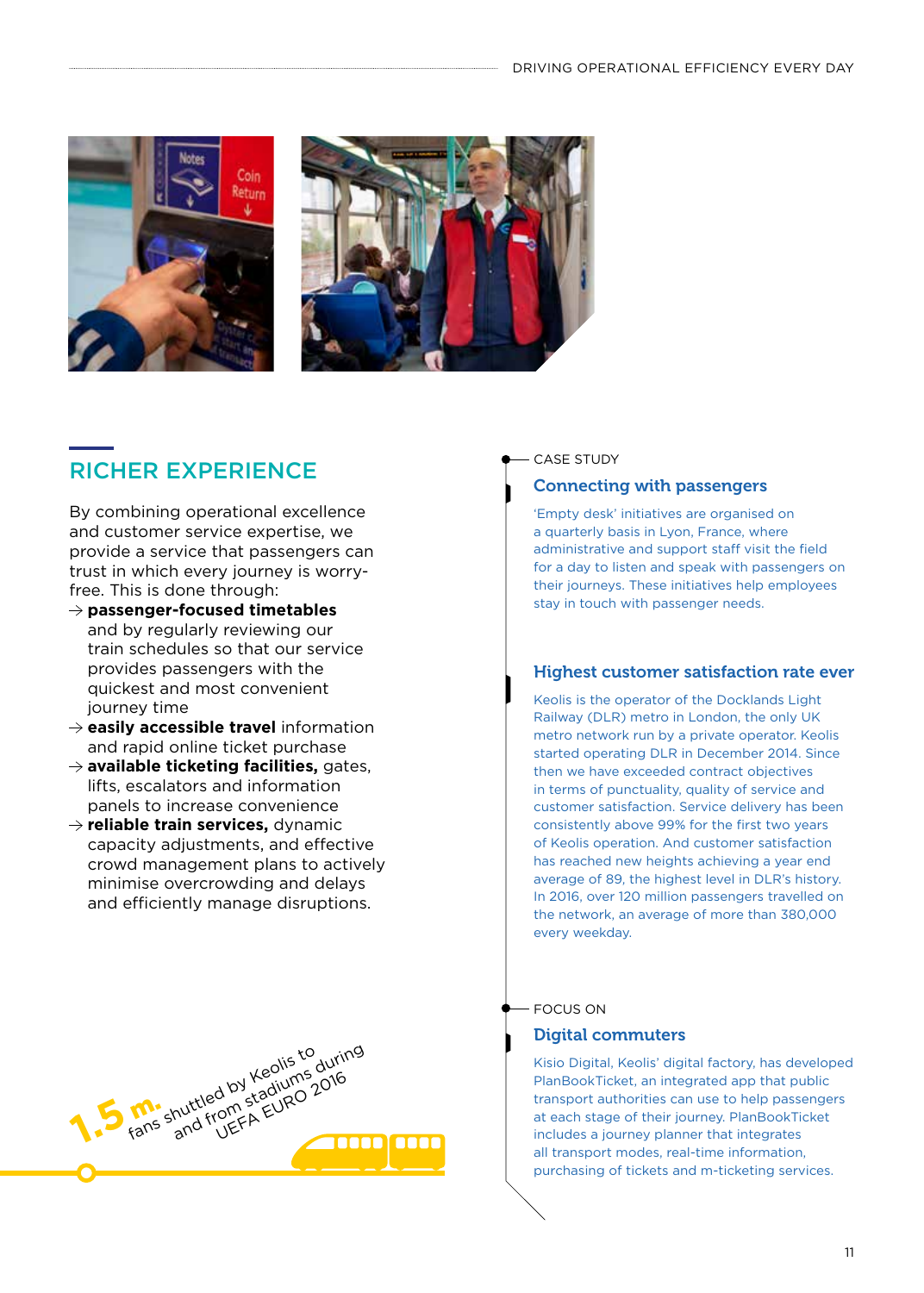



## RICHER EXPERIENCE

By combining operational excellence and customer service expertise, we provide a service that passengers can trust in which every journey is worryfree. This is done through:

- **passenger-focused timetables**  and by regularly reviewing our train schedules so that our service provides passengers with the quickest and most convenient journey time
- **easily accessible travel** information and rapid online ticket purchase
- **available ticketing facilities,** gates, lifts, escalators and information panels to increase convenience
- **reliable train services,** dynamic capacity adjustments, and effective crowd management plans to actively minimise overcrowding and delays and efficiently manage disruptions.

# **1.5** M. shuttled by Keolis to during

#### CASE STUDY

#### Connecting with passengers

'Empty desk' initiatives are organised on a quarterly basis in Lyon, France, where administrative and support staff visit the field for a day to listen and speak with passengers on their journeys. These initiatives help employees stay in touch with passenger needs.

#### Highest customer satisfaction rate ever

Keolis is the operator of the Docklands Light Railway (DLR) metro in London, the only UK metro network run by a private operator. Keolis started operating DLR in December 2014. Since then we have exceeded contract objectives in terms of punctuality, quality of service and customer satisfaction. Service delivery has been consistently above 99% for the first two years of Keolis operation. And customer satisfaction has reached new heights achieving a year end average of 89, the highest level in DLR's history. In 2016, over 120 million passengers travelled on the network, an average of more than 380,000 every weekday.

#### FOCUS ON

### Digital commuters

Kisio Digital, Keolis' digital factory, has developed PlanBookTicket, an integrated app that public transport authorities can use to help passengers at each stage of their journey. PlanBookTicket includes a journey planner that integrates all transport modes, real-time information, purchasing of tickets and m-ticketing services.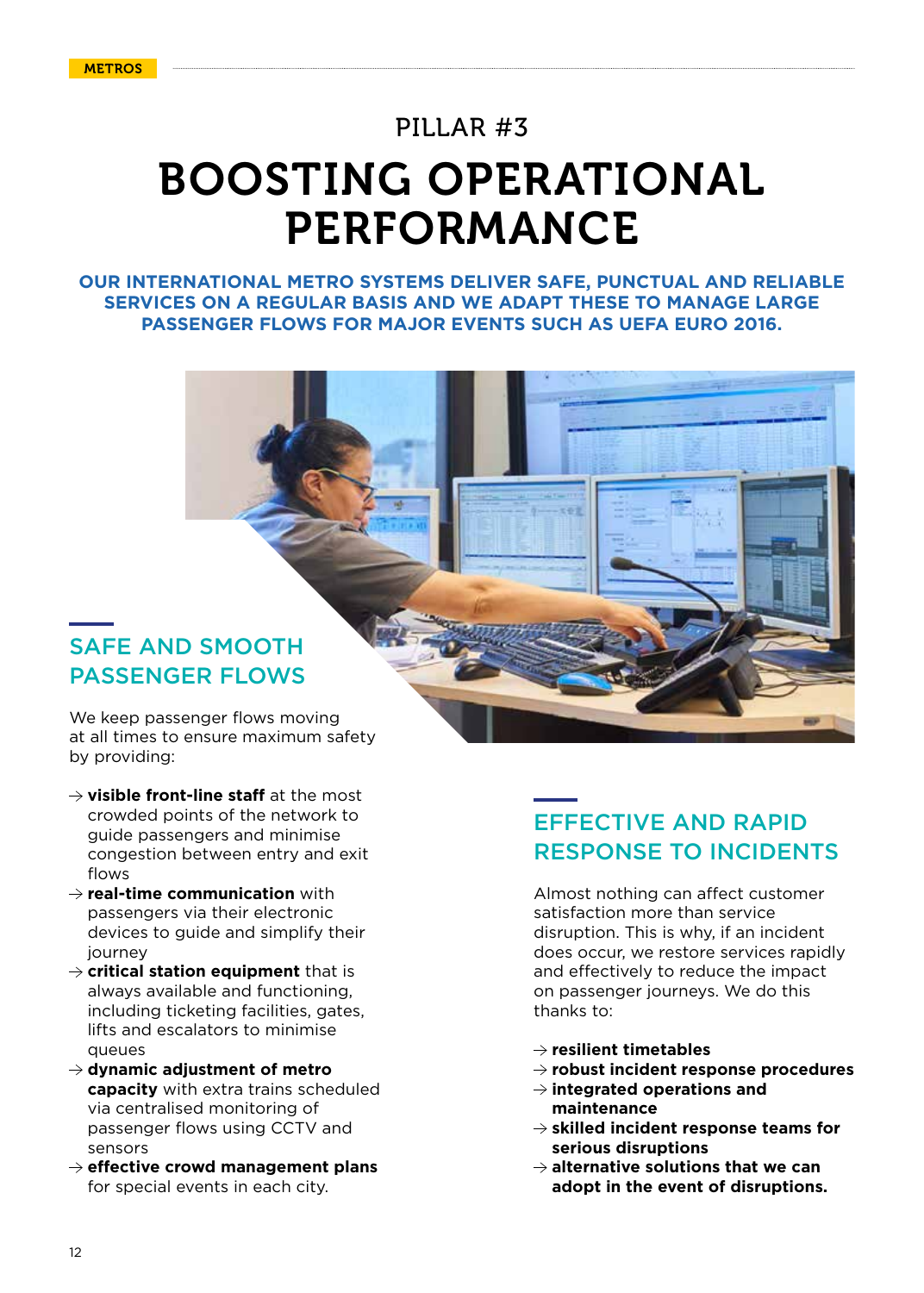# BOOSTING OPERATIONAL PERFORMANCE

**OUR INTERNATIONAL METRO SYSTEMS DELIVER SAFE, PUNCTUAL AND RELIABLE SERVICES ON A REGULAR BASIS AND WE ADAPT THESE TO MANAGE LARGE PASSENGER FLOWS FOR MAJOR EVENTS SUCH AS UEFA EURO 2016.**

# SAFE AND SMOOTH PASSENGER FLOWS

We keep passenger flows moving at all times to ensure maximum safety by providing:

- **visible front-line staff** at the most crowded points of the network to guide passengers and minimise congestion between entry and exit flows
- **real-time communication** with passengers via their electronic devices to guide and simplify their journey
- → **critical station equipment** that is always available and functioning, including ticketing facilities, gates, lifts and escalators to minimise queues
- **dynamic adjustment of metro capacity** with extra trains scheduled via centralised monitoring of passenger flows using CCTV and sensors
- **effective crowd management plans** for special events in each city.

# EFFECTIVE AND RAPID RESPONSE TO INCIDENTS

Almost nothing can affect customer satisfaction more than service disruption. This is why, if an incident does occur, we restore services rapidly and effectively to reduce the impact on passenger journeys. We do this thanks to:

- **resilient timetables**
- **robust incident response procedures**
- **integrated operations and maintenance**
- **skilled incident response teams for serious disruptions**
- **alternative solutions that we can adopt in the event of disruptions.**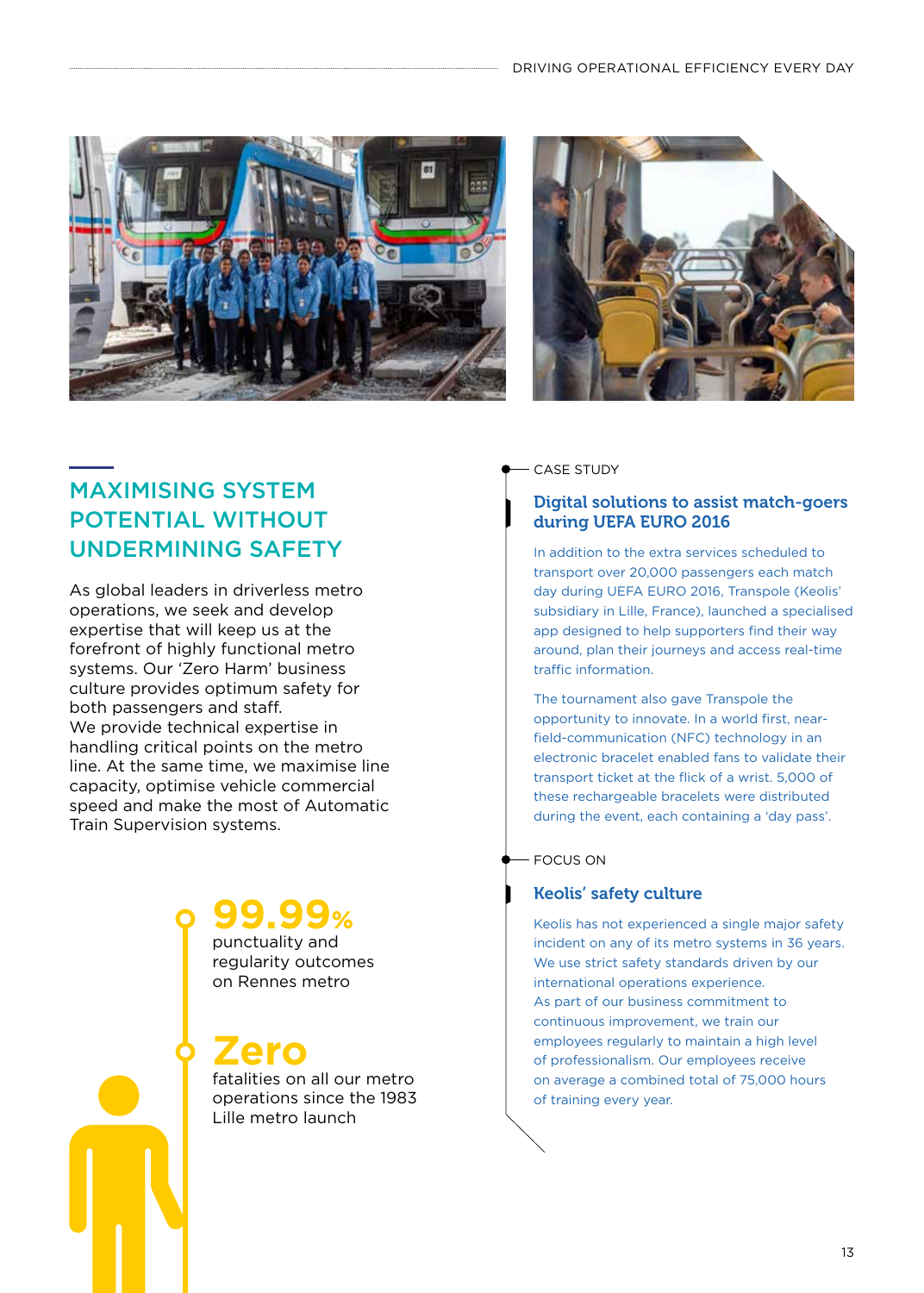



### MAXIMISING SYSTEM POTENTIAL WITHOUT UNDERMINING SAFETY

As global leaders in driverless metro operations, we seek and develop expertise that will keep us at the forefront of highly functional metro systems. Our 'Zero Harm' business culture provides optimum safety for both passengers and staff. We provide technical expertise in handling critical points on the metro line. At the same time, we maximise line capacity, optimise vehicle commercial speed and make the most of Automatic Train Supervision systems.

# **99.99**%

punctuality and regularity outcomes on Rennes metro

# **Zero**

fatalities on all our metro operations since the 1983 Lille metro launch

#### CASE STUDY

### Digital solutions to assist match-goers during UEFA EURO 2016

In addition to the extra services scheduled to transport over 20,000 passengers each match day during UEFA EURO 2016, Transpole (Keolis' subsidiary in Lille, France), launched a specialised app designed to help supporters find their way around, plan their journeys and access real-time traffic information.

The tournament also gave Transpole the opportunity to innovate. In a world first, nearfield-communication (NFC) technology in an electronic bracelet enabled fans to validate their transport ticket at the flick of a wrist. 5,000 of these rechargeable bracelets were distributed during the event, each containing a 'day pass'.

### FOCUS ON

### Keolis' safety culture

Keolis has not experienced a single major safety incident on any of its metro systems in 36 years. We use strict safety standards driven by our international operations experience. As part of our business commitment to continuous improvement, we train our employees regularly to maintain a high level of professionalism. Our employees receive on average a combined total of 75,000 hours of training every year.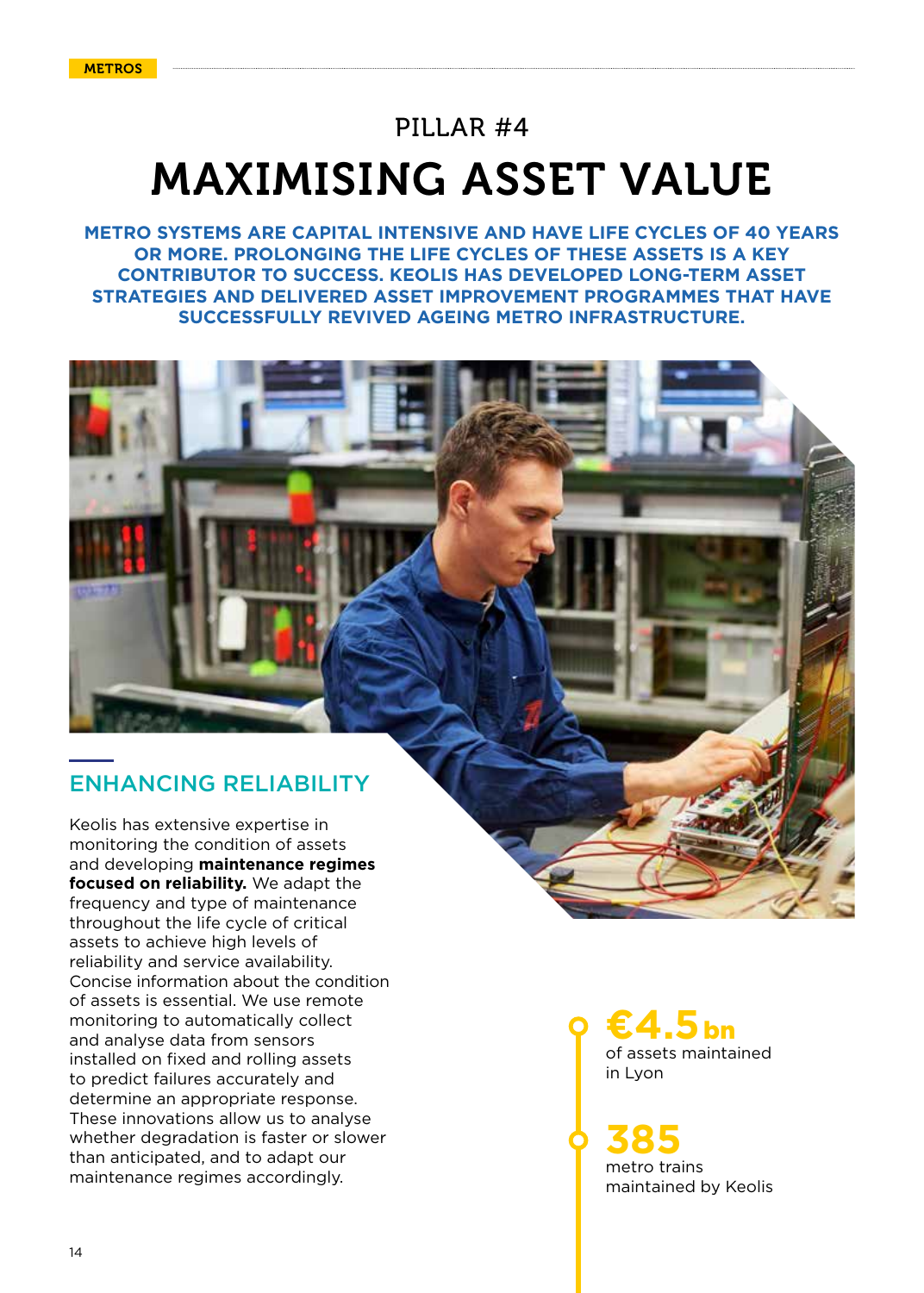# MAXIMISING ASSET VALUE

**METRO SYSTEMS ARE CAPITAL INTENSIVE AND HAVE LIFE CYCLES OF 40 YEARS OR MORE. PROLONGING THE LIFE CYCLES OF THESE ASSETS IS A KEY CONTRIBUTOR TO SUCCESS. KEOLIS HAS DEVELOPED LONG-TERM ASSET STRATEGIES AND DELIVERED ASSET IMPROVEMENT PROGRAMMES THAT HAVE SUCCESSFULLY REVIVED AGEING METRO INFRASTRUCTURE.** 

### ENHANCING RELIABILITY

Keolis has extensive expertise in monitoring the condition of assets and developing **maintenance regimes focused on reliability.** We adapt the frequency and type of maintenance throughout the life cycle of critical assets to achieve high levels of reliability and service availability. Concise information about the condition of assets is essential. We use remote monitoring to automatically collect and analyse data from sensors installed on fixed and rolling assets to predict failures accurately and determine an appropriate response. These innovations allow us to analyse whether degradation is faster or slower than anticipated, and to adapt our maintenance regimes accordingly.

**€4.5** bn of assets maintained

in Lyon

**385** metro trains maintained by Keolis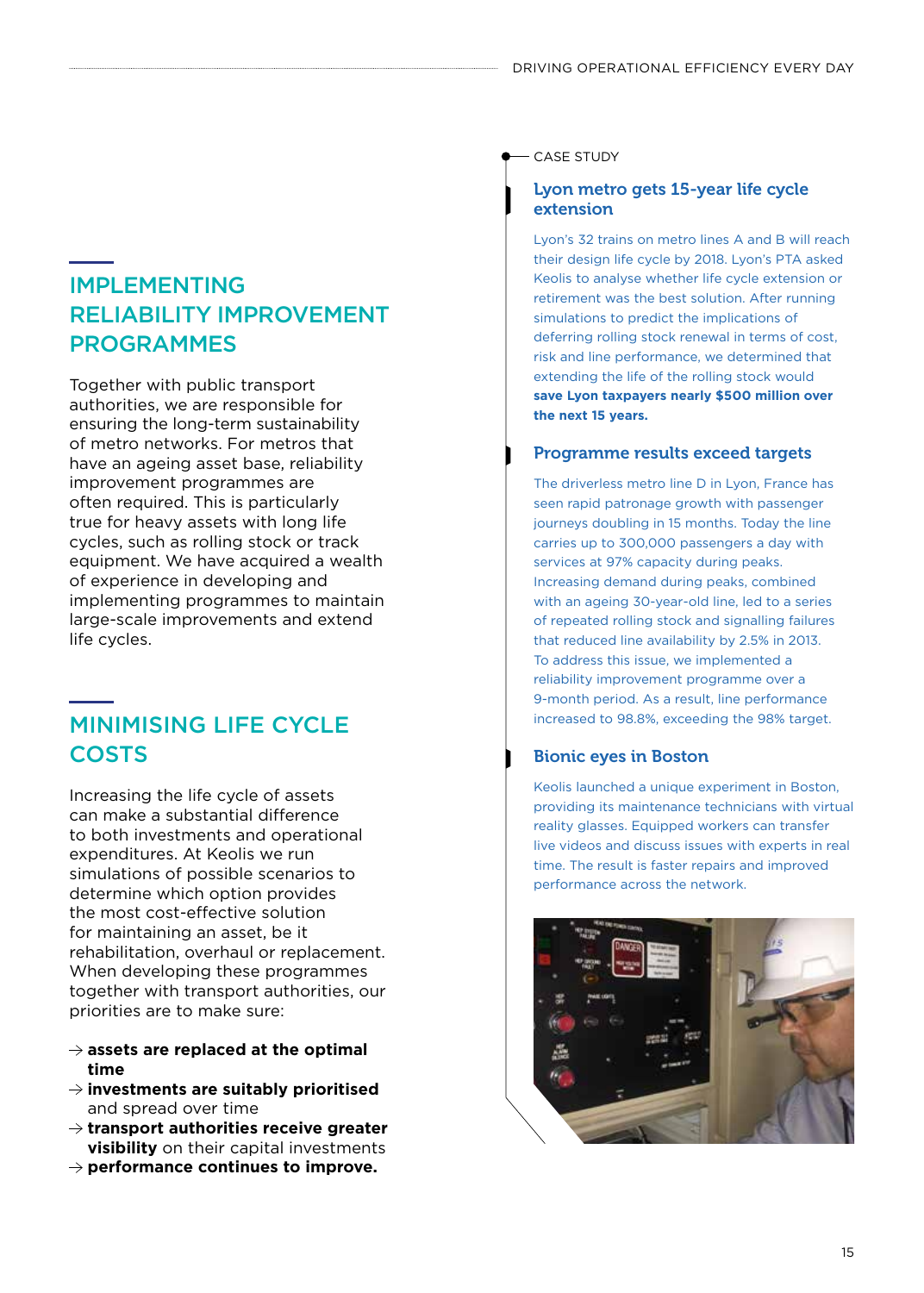### IMPLEMENTING RELIABILITY IMPROVEMENT PROGRAMMES

Together with public transport authorities, we are responsible for ensuring the long-term sustainability of metro networks. For metros that have an ageing asset base, reliability improvement programmes are often required. This is particularly true for heavy assets with long life cycles, such as rolling stock or track equipment. We have acquired a wealth of experience in developing and implementing programmes to maintain large-scale improvements and extend life cycles.

# MINIMISING LIFE CYCLE **COSTS**

Increasing the life cycle of assets can make a substantial difference to both investments and operational expenditures. At Keolis we run simulations of possible scenarios to determine which option provides the most cost-effective solution for maintaining an asset, be it rehabilitation, overhaul or replacement. When developing these programmes together with transport authorities, our priorities are to make sure:

- **assets are replaced at the optimal time**
- **investments are suitably prioritised** and spread over time
- **transport authorities receive greater visibility** on their capital investments
- **performance continues to improve.**

#### CASE STUDY

### Lyon metro gets 15-year life cycle extension

Lyon's 32 trains on metro lines A and B will reach their design life cycle by 2018. Lyon's PTA asked Keolis to analyse whether life cycle extension or retirement was the best solution. After running simulations to predict the implications of deferring rolling stock renewal in terms of cost, risk and line performance, we determined that extending the life of the rolling stock would **save Lyon taxpayers nearly \$500 million over the next 15 years.**

### Programme results exceed targets

The driverless metro line D in Lyon, France has seen rapid patronage growth with passenger journeys doubling in 15 months. Today the line carries up to 300,000 passengers a day with services at 97% capacity during peaks. Increasing demand during peaks, combined with an ageing 30-year-old line, led to a series of repeated rolling stock and signalling failures that reduced line availability by 2.5% in 2013. To address this issue, we implemented a reliability improvement programme over a 9-month period. As a result, line performance increased to 98.8%, exceeding the 98% target.

### Bionic eyes in Boston

Keolis launched a unique experiment in Boston, providing its maintenance technicians with virtual reality glasses. Equipped workers can transfer live videos and discuss issues with experts in real time. The result is faster repairs and improved performance across the network.

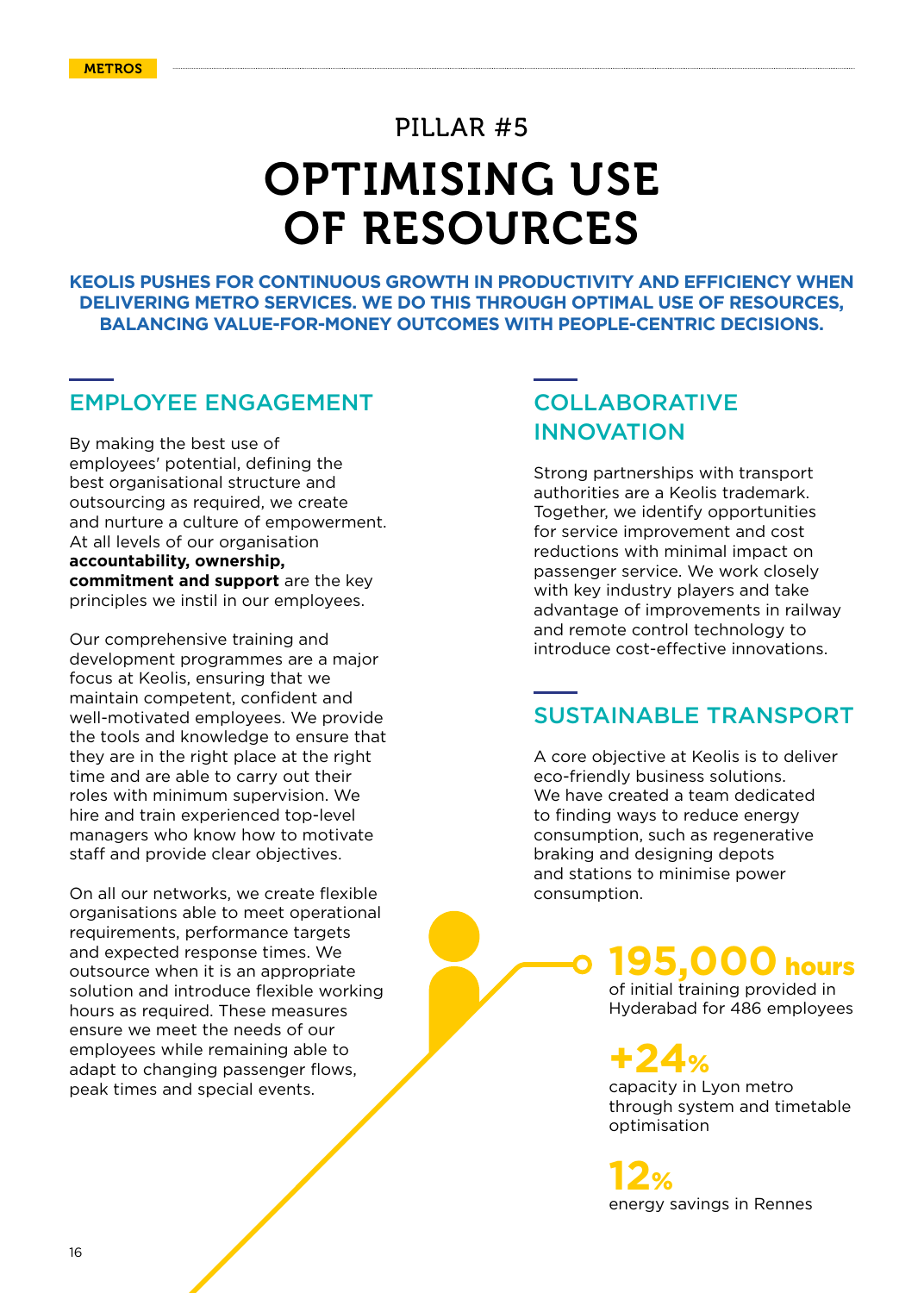# OPTIMISING USE OF RESOURCES

**KEOLIS PUSHES FOR CONTINUOUS GROWTH IN PRODUCTIVITY AND EFFICIENCY WHEN DELIVERING METRO SERVICES. WE DO THIS THROUGH OPTIMAL USE OF RESOURCES, BALANCING VALUE-FOR-MONEY OUTCOMES WITH PEOPLE-CENTRIC DECISIONS.**

### EMPLOYEE ENGAGEMENT

By making the best use of employees' potential, defining the best organisational structure and outsourcing as required, we create and nurture a culture of empowerment. At all levels of our organisation **accountability, ownership, commitment and support** are the key principles we instil in our employees.

Our comprehensive training and development programmes are a major focus at Keolis, ensuring that we maintain competent, confident and well-motivated employees. We provide the tools and knowledge to ensure that they are in the right place at the right time and are able to carry out their roles with minimum supervision. We hire and train experienced top-level managers who know how to motivate staff and provide clear objectives.

On all our networks, we create flexible organisations able to meet operational requirements, performance targets and expected response times. We outsource when it is an appropriate solution and introduce flexible working hours as required. These measures ensure we meet the needs of our employees while remaining able to adapt to changing passenger flows, peak times and special events.

# **COLLABORATIVE** INNOVATION

Strong partnerships with transport authorities are a Keolis trademark. Together, we identify opportunities for service improvement and cost reductions with minimal impact on passenger service. We work closely with key industry players and take advantage of improvements in railway and remote control technology to introduce cost-effective innovations.

### SUSTAINABLE TRANSPORT

A core objective at Keolis is to deliver eco-friendly business solutions. We have created a team dedicated to finding ways to reduce energy consumption, such as regenerative braking and designing depots and stations to minimise power consumption.

> **195,000** hours of initial training provided in Hyderabad for 486 employees

# **+24**%

capacity in Lyon metro through system and timetable optimisation

**12**% energy savings in Rennes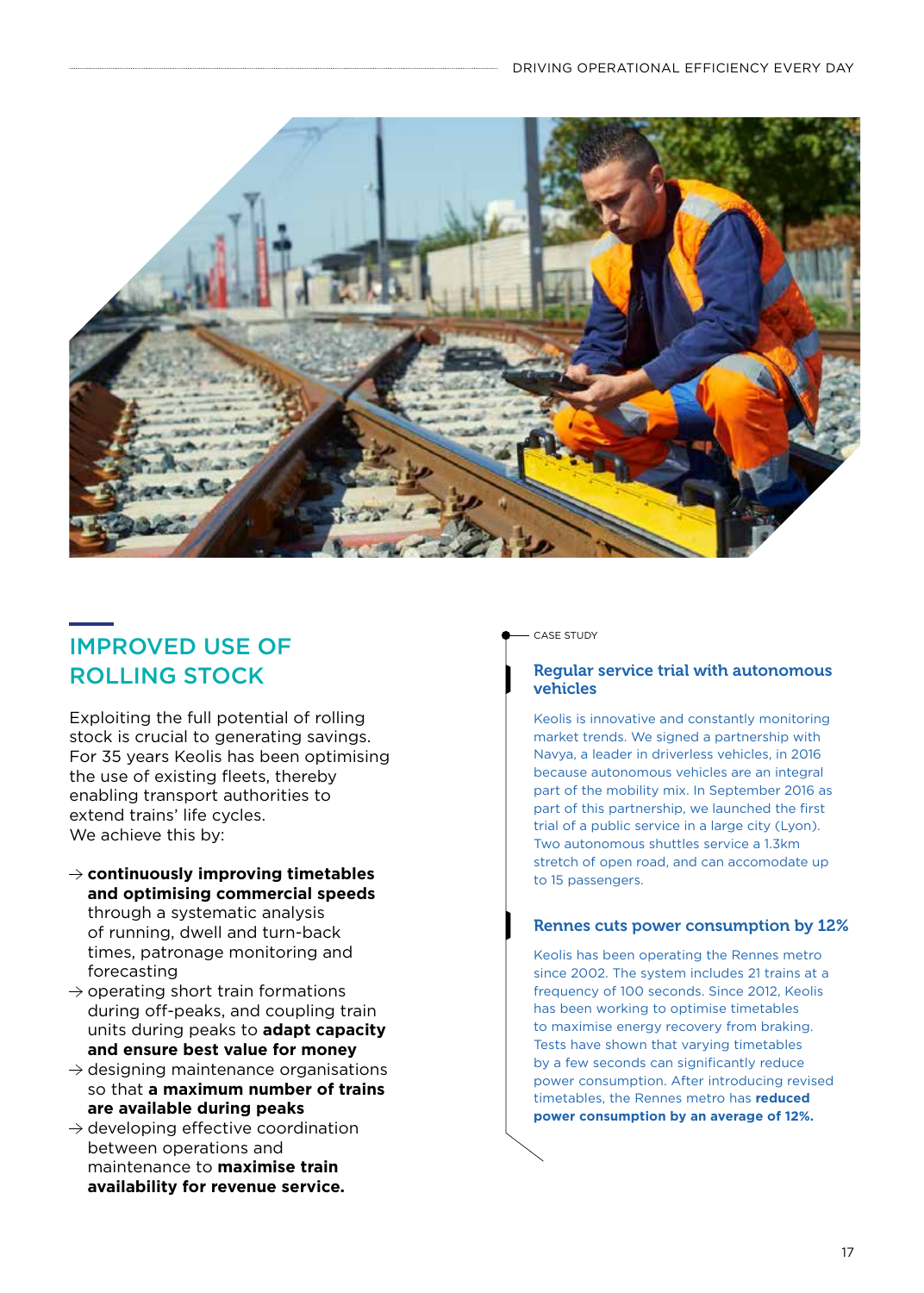

# IMPROVED USE OF ROLLING STOCK

Exploiting the full potential of rolling stock is crucial to generating savings. For 35 years Keolis has been optimising the use of existing fleets, thereby enabling transport authorities to extend trains' life cycles. We achieve this by:

- **continuously improving timetables and optimising commercial speeds** through a systematic analysis of running, dwell and turn-back times, patronage monitoring and forecasting
- $\rightarrow$  operating short train formations during off-peaks, and coupling train units during peaks to **adapt capacity and ensure best value for money**
- $\rightarrow$  designing maintenance organisations so that **a maximum number of trains are available during peaks**
- $\rightarrow$  developing effective coordination between operations and maintenance to **maximise train availability for revenue service.**

#### CASE STUDY

### Regular service trial with autonomous vehicles

Keolis is innovative and constantly monitoring market trends. We signed a partnership with Navya, a leader in driverless vehicles, in 2016 because autonomous vehicles are an integral part of the mobility mix. In September 2016 as part of this partnership, we launched the first trial of a public service in a large city (Lyon). Two autonomous shuttles service a 1.3km stretch of open road, and can accomodate up to 15 passengers.

#### Rennes cuts power consumption by 12%

Keolis has been operating the Rennes metro since 2002. The system includes 21 trains at a frequency of 100 seconds. Since 2012, Keolis has been working to optimise timetables to maximise energy recovery from braking. Tests have shown that varying timetables by a few seconds can significantly reduce power consumption. After introducing revised timetables, the Rennes metro has **reduced power consumption by an average of 12%.**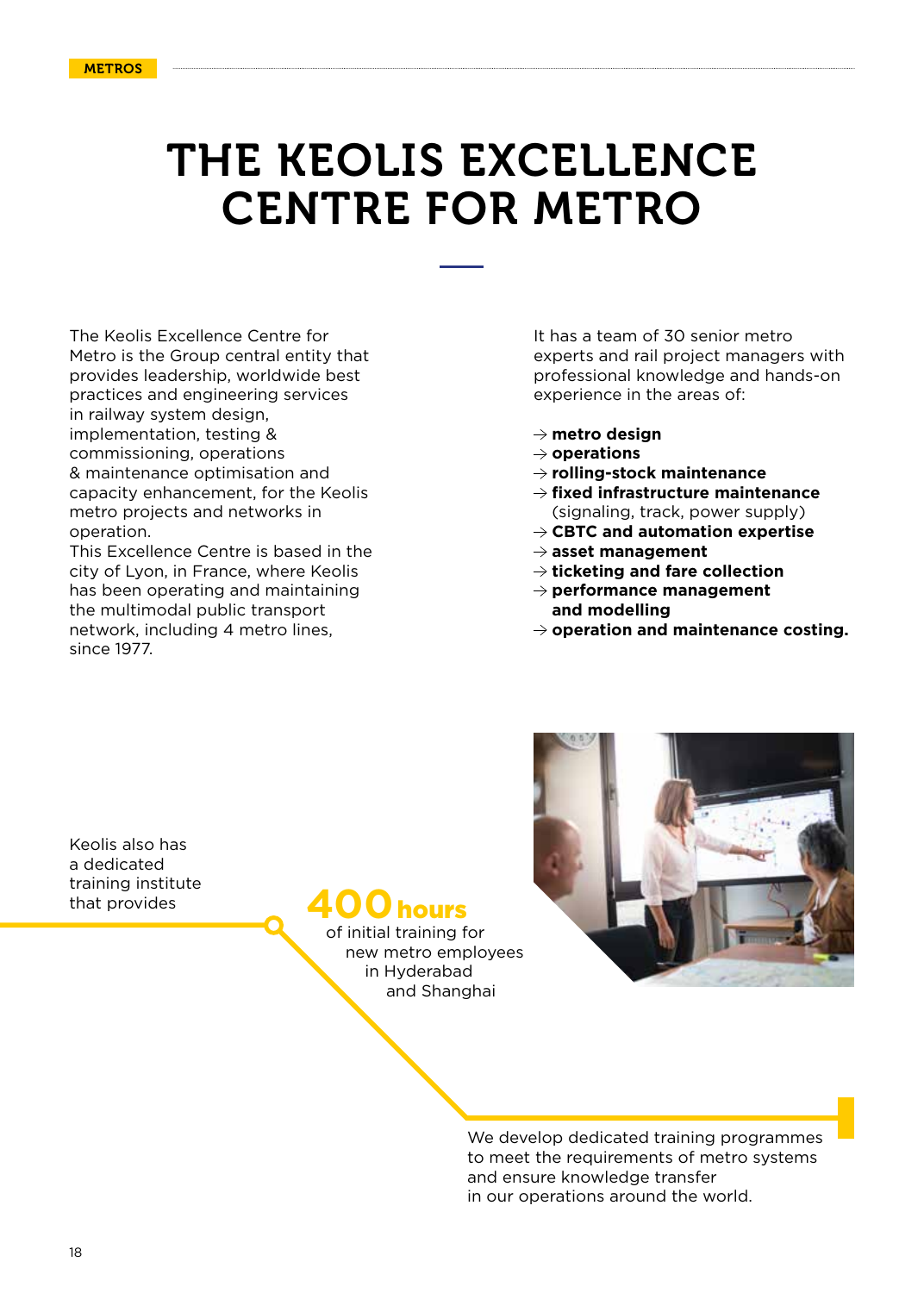# THE KEOLIS EXCELLENCE CENTRE FOR METRO

The Keolis Excellence Centre for Metro is the Group central entity that provides leadership, worldwide best practices and engineering services in railway system design, implementation, testing & commissioning, operations & maintenance optimisation and capacity enhancement, for the Keolis metro projects and networks in operation.

This Excellence Centre is based in the city of Lyon, in France, where Keolis has been operating and maintaining the multimodal public transport network, including 4 metro lines, since 1977.

It has a team of 30 senior metro experts and rail project managers with professional knowledge and hands-on experience in the areas of:

- **metro design**
- **operations**
- **rolling-stock maintenance**
- $\rightarrow$  fixed infrastructure maintenance (signaling, track, power supply)
- **CBTC and automation expertise**
- **asset management**
- **ticketing and fare collection**
- **performance management and modelling**
- $\rightarrow$  operation and maintenance costing.

Keolis also has a dedicated training institute that provides

# **400** hours

of initial training for new metro employees in Hyderabad and Shanghai



We develop dedicated training programmes to meet the requirements of metro systems and ensure knowledge transfer in our operations around the world.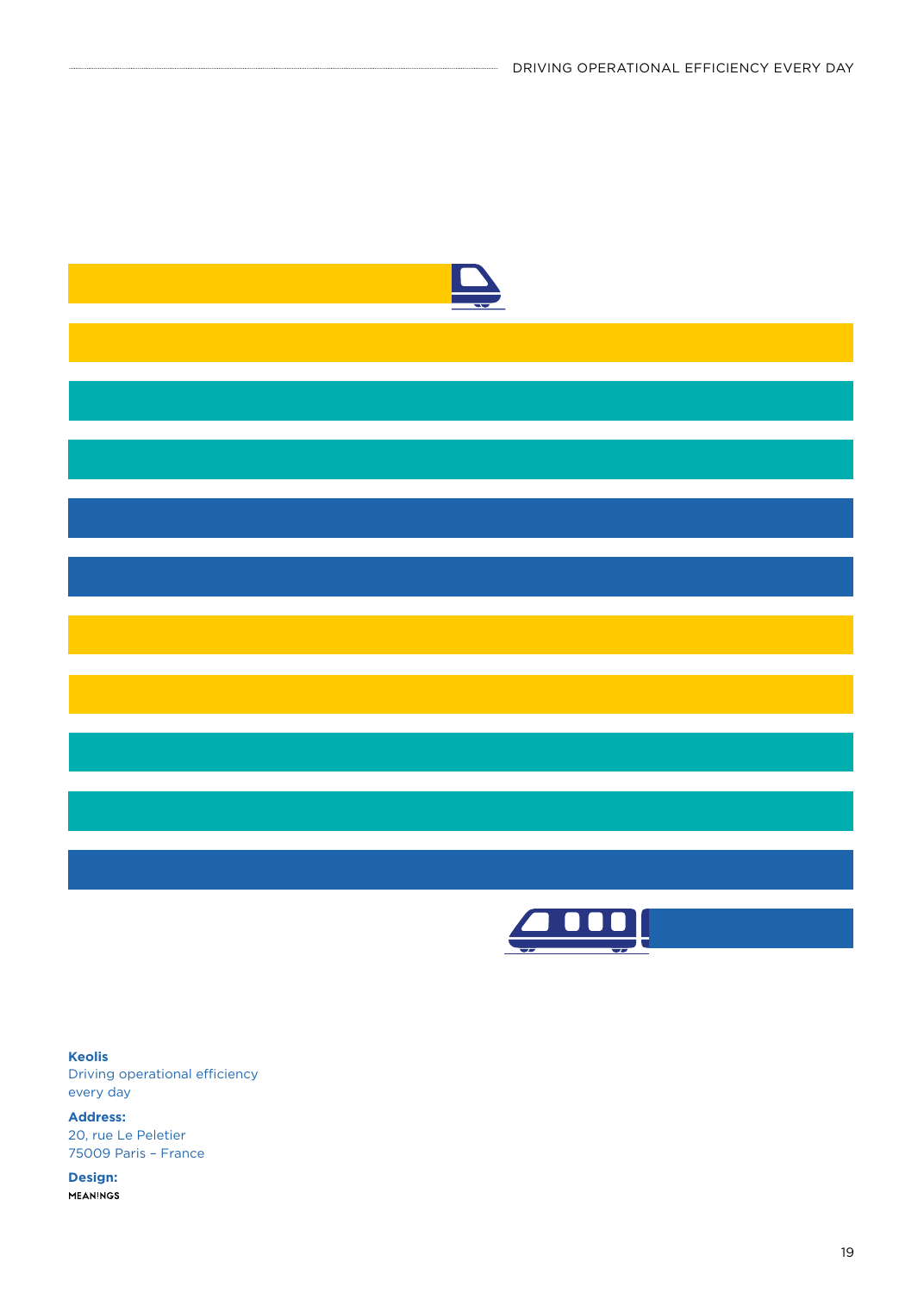



#### **Keolis**

Driving operational efficiency every day

#### **Address:**  20, rue Le Peletier 75009 Paris – France

**Design:**